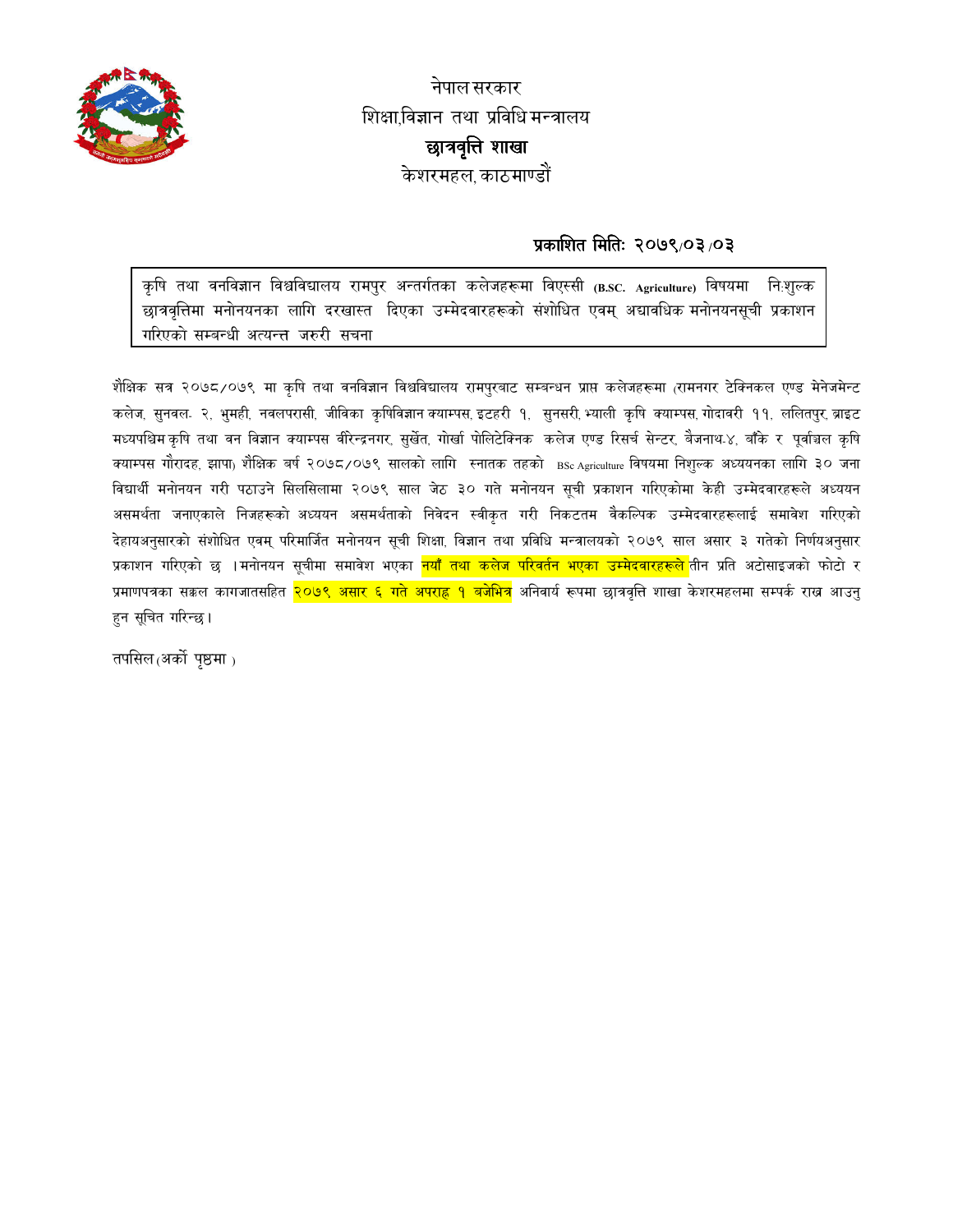

नेपाल सरकार शिक्षा,विज्ञान तथा प्रविधि मन्त्रालय छात्रवृत्ति शाखा केशरमहल काठमाण्डौं

# प्रकाशित मितिः २०७९/०३/०३

कृषि तथा वनविज्ञान विश्वविद्यालय रामपुर अन्तर्गतका कलेजहरूमा विएस्सी (B.SC. Agriculture) विषयमा निःशुल्क छात्रवृत्तिमा मनोनयनका लागि दरखास्त दिएका उम्मेदवारहरूको संशोधित एवम् अद्यावधिक मनोनयनसुची प्रकाशन गरिएको सम्बन्धी अत्यन्त्त जरुरी सचना

शैक्षिक सत्र २०७८/०७९ मा कृषि तथा वनविज्ञान विश्वविद्यालय रामपुरबाट सम्बन्धन प्राप्त कलेजहरूमा (रामनगर टेक्निकल एण्ड मेनेजमेन्ट कलेज, सुनवल- २, भुमही, नवलपरासी, जीविका कृषिविज्ञान क्याम्पस, इटहरी १, सुनसरी,भ्याली कृषि क्याम्पस,गोदावरी ११, ललितपुर, ब्राइट मध्यपश्चिम कृषि तथा वन विज्ञान क्याम्पस वीरेन्द्रनगर, सुर्खेत, गोर्खा पोलिटेक्निक कलेज एण्ड रिसर्च सेन्टर, बैजनाथ-४, बाँके र पूर्वाञ्चल कृषि क्याम्पस गौरादह, झापा<sub>)</sub> शैक्षिक बर्ष २०७८/०७९ सालको लागि स्नातक तहको <sub>BSc Agriculture</sub> विषयमा निशुल्क अध्ययनका लागि ३० जना विद्यार्थी मनोनयन गरी पठाउने सिलसिलामा २०७९ साल जेठ ३० गते मनोनयन सूची प्रकाशन गरिएकोमा केही उम्मेदवारहरूले अध्ययन असमर्थता जनाएकाले निजहरूको अध्ययन असमर्थताको निवेदन स्वीकृत गरी निकटतम वैकल्पिक उम्मेदवारहरूलाई समावेश गरिएको देहायअनुसारको संशोधित एवम् परिमार्जित मनोनयन सुची शिक्षा विज्ञान तथा प्रविधि मन्त्रालयको २०७९ साल असार ३ गतेको निर्णयअनुसार प्रकाशन गरिएको छ ।मनोनयन सूचीमा समावेश भएका <mark>नयाँ तथा कलेज परिवर्तन भएका उम्मेदवारहरूले </mark>तीन प्रति अटोसाइजको फोटो र प्रमाणपत्रका सक्कल कागजातसहित <mark>२०७९ असार ६ गते अपराह्र १ बजेभित्र</mark> अनिवार्य रूपमा छात्रवृत्ति शाखा केशरमहलमा सम्पर्क राख्न आउनु हुन सूचित गरिन्छ।

तपसिल $(3a\vec{b})$  पृष्ठमा $_2$